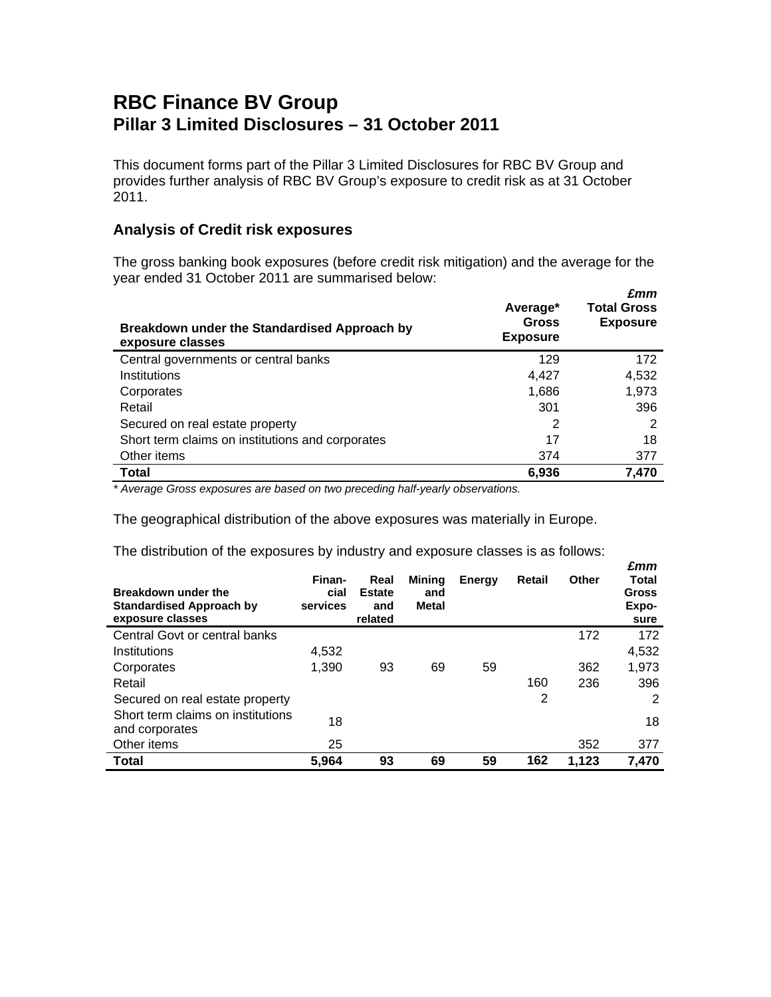## **RBC Finance BV Group Pillar 3 Limited Disclosures – 31 October 2011**

This document forms part of the Pillar 3 Limited Disclosures for RBC BV Group and provides further analysis of RBC BV Group's exposure to credit risk as at 31 October 2011.

## **Analysis of Credit risk exposures**

The gross banking book exposures (before credit risk mitigation) and the average for the year ended 31 October 2011 are summarised below:  *£mm* 

| Breakdown under the Standardised Approach by<br>exposure classes | Average*<br><b>Gross</b><br><b>Exposure</b> | ziiiii<br><b>Total Gross</b><br><b>Exposure</b> |
|------------------------------------------------------------------|---------------------------------------------|-------------------------------------------------|
| Central governments or central banks                             | 129                                         | 172                                             |
| Institutions                                                     | 4.427                                       | 4,532                                           |
| Corporates                                                       | 1,686                                       | 1,973                                           |
| Retail                                                           | 301                                         | 396                                             |
| Secured on real estate property                                  | 2                                           | 2                                               |
| Short term claims on institutions and corporates                 | 17                                          | 18                                              |
| Other items                                                      | 374                                         | 377                                             |
| <b>Total</b>                                                     | 6,936                                       | 7,470                                           |

*\* Average Gross exposures are based on two preceding half-yearly observations.* 

The geographical distribution of the above exposures was materially in Europe.

The distribution of the exposures by industry and exposure classes is as follows:

| Breakdown under the<br><b>Standardised Approach by</b><br>exposure classes | Finan-<br>cial<br>services | Real<br><b>Estate</b><br>and<br>related | <b>Mining</b><br>and<br>Metal | Energy | Retail | Other | 2.MM<br>Total<br>Gross<br>Expo-<br>sure |
|----------------------------------------------------------------------------|----------------------------|-----------------------------------------|-------------------------------|--------|--------|-------|-----------------------------------------|
| Central Govt or central banks                                              |                            |                                         |                               |        |        | 172   | 172                                     |
| Institutions                                                               | 4,532                      |                                         |                               |        |        |       | 4,532                                   |
| Corporates                                                                 | 1,390                      | 93                                      | 69                            | 59     |        | 362   | 1,973                                   |
| Retail                                                                     |                            |                                         |                               |        | 160    | 236   | 396                                     |
| Secured on real estate property                                            |                            |                                         |                               |        | 2      |       | 2                                       |
| Short term claims on institutions<br>and corporates                        | 18                         |                                         |                               |        |        |       | 18                                      |
| Other items                                                                | 25                         |                                         |                               |        |        | 352   | 377                                     |
| <b>Total</b>                                                               | 5,964                      | 93                                      | 69                            | 59     | 162    | 1.123 | 7,470                                   |

 *£mm*